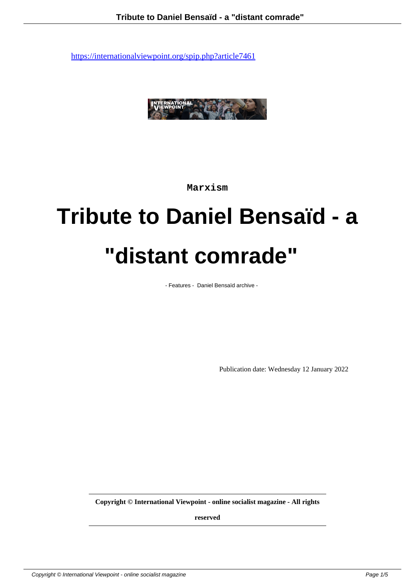

**Marxism**

# **Tribute to Daniel Bensaïd - a "distant comrade"**

- Features - Daniel Bensaïd archive -

Publication date: Wednesday 12 January 2022

**Copyright © International Viewpoint - online socialist magazine - All rights**

**reserved**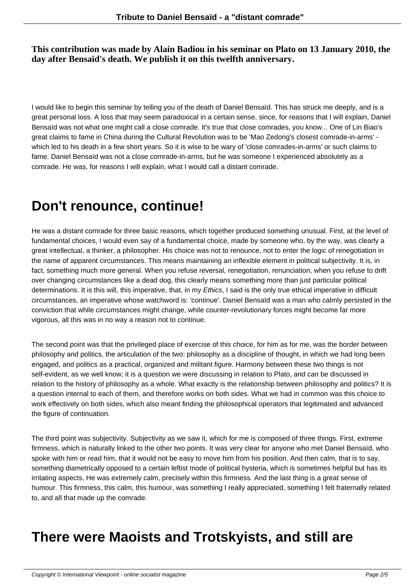#### **This contribution was made by Alain Badiou in his seminar on Plato on 13 January 2010, the day after Bensaïd's death. We publish it on this twelfth anniversary.**

I would like to begin this seminar by telling you of the death of Daniel Bensaïd. This has struck me deeply, and is a great personal loss. A loss that may seem paradoxical in a certain sense, since, for reasons that I will explain, Daniel Bensaïd was not what one might call a close comrade. It's true that close comrades, you know... One of Lin Biao's great claims to fame in China during the Cultural Revolution was to be 'Mao Zedong's closest comrade-in-arms' which led to his death in a few short years. So it is wise to be wary of 'close comrades-in-arms' or such claims to fame. Daniel Bensaïd was not a close comrade-in-arms, but he was someone I experienced absolutely as a comrade. He was, for reasons I will explain, what I would call a distant comrade.

#### **Don't renounce, continue!**

He was a distant comrade for three basic reasons, which together produced something unusual. First, at the level of fundamental choices, I would even say of a fundamental choice, made by someone who, by the way, was clearly a great intellectual, a thinker, a philosopher. His choice was not to renounce, not to enter the logic of renegotiation in the name of apparent circumstances. This means maintaining an inflexible element in political subjectivity. It is, in fact, something much more general. When you refuse reversal, renegotiation, renunciation, when you refuse to drift over changing circumstances like a dead dog, this clearly means something more than just particular political determinations. It is this will, this imperative, that, in my Ethics, I said is the only true ethical imperative in difficult circumstances, an imperative whose watchword is: 'continue'. Daniel Bensaïd was a man who calmly persisted in the conviction that while circumstances might change, while counter-revolutionary forces might become far more vigorous, all this was in no way a reason not to continue.

The second point was that the privileged place of exercise of this choice, for him as for me, was the border between philosophy and politics, the articulation of the two: philosophy as a discipline of thought, in which we had long been engaged, and politics as a practical, organized and militant figure. Harmony between these two things is not self-evident, as we well know; it is a question we were discussing in relation to Plato, and can be discussed in relation to the history of philosophy as a whole. What exactly is the relationship between philosophy and politics? It is a question internal to each of them, and therefore works on both sides. What we had in common was this choice to work effectively on both sides, which also meant finding the philosophical operators that legitimated and advanced the figure of continuation.

The third point was subjectivity. Subjectivity as we saw it, which for me is composed of three things. First, extreme firmness, which is naturally linked to the other two points. It was very clear for anyone who met Daniel Bensaïd, who spoke with him or read him, that it would not be easy to move him from his position. And then calm, that is to say, something diametrically opposed to a certain leftist mode of political hysteria, which is sometimes helpful but has its irritating aspects. He was extremely calm, precisely within this firmness. And the last thing is a great sense of humour. This firmness, this calm, this humour, was something I really appreciated, something I felt fraternally related to, and all that made up the comrade.

#### **There were Maoists and Trotskyists, and still are**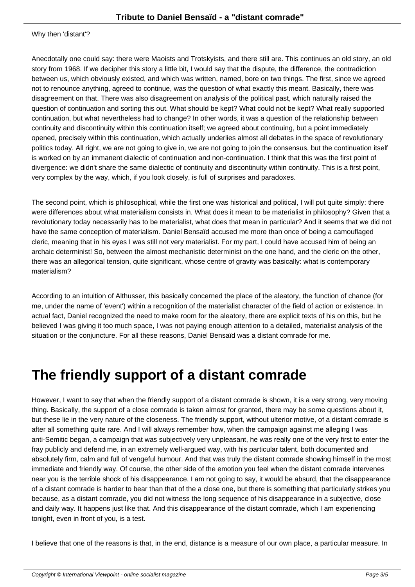Anecdotally one could say: there were Maoists and Trotskyists, and there still are. This continues an old story, an old story from 1968. If we decipher this story a little bit, I would say that the dispute, the difference, the contradiction between us, which obviously existed, and which was written, named, bore on two things. The first, since we agreed not to renounce anything, agreed to continue, was the question of what exactly this meant. Basically, there was disagreement on that. There was also disagreement on analysis of the political past, which naturally raised the question of continuation and sorting this out. What should be kept? What could not be kept? What really supported continuation, but what nevertheless had to change? In other words, it was a question of the relationship between continuity and discontinuity within this continuation itself; we agreed about continuing, but a point immediately opened, precisely within this continuation, which actually underlies almost all debates in the space of revolutionary politics today. All right, we are not going to give in, we are not going to join the consensus, but the continuation itself is worked on by an immanent dialectic of continuation and non-continuation. I think that this was the first point of divergence: we didn't share the same dialectic of continuity and discontinuity within continuity. This is a first point, very complex by the way, which, if you look closely, is full of surprises and paradoxes.

The second point, which is philosophical, while the first one was historical and political, I will put quite simply: there were differences about what materialism consists in. What does it mean to be materialist in philosophy? Given that a revolutionary today necessarily has to be materialist, what does that mean in particular? And it seems that we did not have the same conception of materialism. Daniel Bensaïd accused me more than once of being a camouflaged cleric, meaning that in his eyes I was still not very materialist. For my part, I could have accused him of being an archaic determinist! So, between the almost mechanistic determinist on the one hand, and the cleric on the other, there was an allegorical tension, quite significant, whose centre of gravity was basically: what is contemporary materialism?

According to an intuition of Althusser, this basically concerned the place of the aleatory, the function of chance (for me, under the name of 'event') within a recognition of the materialist character of the field of action or existence. In actual fact, Daniel recognized the need to make room for the aleatory, there are explicit texts of his on this, but he believed I was giving it too much space, I was not paying enough attention to a detailed, materialist analysis of the situation or the conjuncture. For all these reasons, Daniel Bensaïd was a distant comrade for me.

## **The friendly support of a distant comrade**

However, I want to say that when the friendly support of a distant comrade is shown, it is a very strong, very moving thing. Basically, the support of a close comrade is taken almost for granted, there may be some questions about it, but these lie in the very nature of the closeness. The friendly support, without ulterior motive, of a distant comrade is after all something quite rare. And I will always remember how, when the campaign against me alleging I was anti-Semitic began, a campaign that was subjectively very unpleasant, he was really one of the very first to enter the fray publicly and defend me, in an extremely well-argued way, with his particular talent, both documented and absolutely firm, calm and full of vengeful humour. And that was truly the distant comrade showing himself in the most immediate and friendly way. Of course, the other side of the emotion you feel when the distant comrade intervenes near you is the terrible shock of his disappearance. I am not going to say, it would be absurd, that the disappearance of a distant comrade is harder to bear than that of the a close one, but there is something that particularly strikes you because, as a distant comrade, you did not witness the long sequence of his disappearance in a subjective, close and daily way. It happens just like that. And this disappearance of the distant comrade, which I am experiencing tonight, even in front of you, is a test.

I believe that one of the reasons is that, in the end, distance is a measure of our own place, a particular measure. In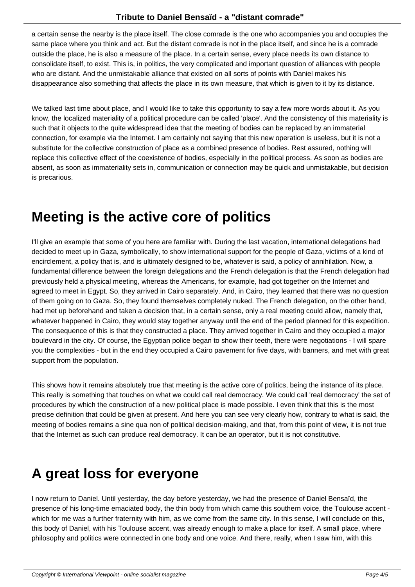a certain sense the nearby is the place itself. The close comrade is the one who accompanies you and occupies the same place where you think and act. But the distant comrade is not in the place itself, and since he is a comrade outside the place, he is also a measure of the place. In a certain sense, every place needs its own distance to consolidate itself, to exist. This is, in politics, the very complicated and important question of alliances with people who are distant. And the unmistakable alliance that existed on all sorts of points with Daniel makes his disappearance also something that affects the place in its own measure, that which is given to it by its distance.

We talked last time about place, and I would like to take this opportunity to say a few more words about it. As you know, the localized materiality of a political procedure can be called 'place'. And the consistency of this materiality is such that it objects to the quite widespread idea that the meeting of bodies can be replaced by an immaterial connection, for example via the Internet. I am certainly not saying that this new operation is useless, but it is not a substitute for the collective construction of place as a combined presence of bodies. Rest assured, nothing will replace this collective effect of the coexistence of bodies, especially in the political process. As soon as bodies are absent, as soon as immateriality sets in, communication or connection may be quick and unmistakable, but decision is precarious.

#### **Meeting is the active core of politics**

I'll give an example that some of you here are familiar with. During the last vacation, international delegations had decided to meet up in Gaza, symbolically, to show international support for the people of Gaza, victims of a kind of encirclement, a policy that is, and is ultimately designed to be, whatever is said, a policy of annihilation. Now, a fundamental difference between the foreign delegations and the French delegation is that the French delegation had previously held a physical meeting, whereas the Americans, for example, had got together on the Internet and agreed to meet in Egypt. So, they arrived in Cairo separately. And, in Cairo, they learned that there was no question of them going on to Gaza. So, they found themselves completely nuked. The French delegation, on the other hand, had met up beforehand and taken a decision that, in a certain sense, only a real meeting could allow, namely that, whatever happened in Cairo, they would stay together anyway until the end of the period planned for this expedition. The consequence of this is that they constructed a place. They arrived together in Cairo and they occupied a major boulevard in the city. Of course, the Egyptian police began to show their teeth, there were negotiations - I will spare you the complexities - but in the end they occupied a Cairo pavement for five days, with banners, and met with great support from the population.

This shows how it remains absolutely true that meeting is the active core of politics, being the instance of its place. This really is something that touches on what we could call real democracy. We could call 'real democracy' the set of procedures by which the construction of a new political place is made possible. I even think that this is the most precise definition that could be given at present. And here you can see very clearly how, contrary to what is said, the meeting of bodies remains a sine qua non of political decision-making, and that, from this point of view, it is not true that the Internet as such can produce real democracy. It can be an operator, but it is not constitutive.

## **A great loss for everyone**

I now return to Daniel. Until yesterday, the day before yesterday, we had the presence of Daniel Bensaïd, the presence of his long-time emaciated body, the thin body from which came this southern voice, the Toulouse accent which for me was a further fraternity with him, as we come from the same city. In this sense, I will conclude on this, this body of Daniel, with his Toulouse accent, was already enough to make a place for itself. A small place, where philosophy and politics were connected in one body and one voice. And there, really, when I saw him, with this